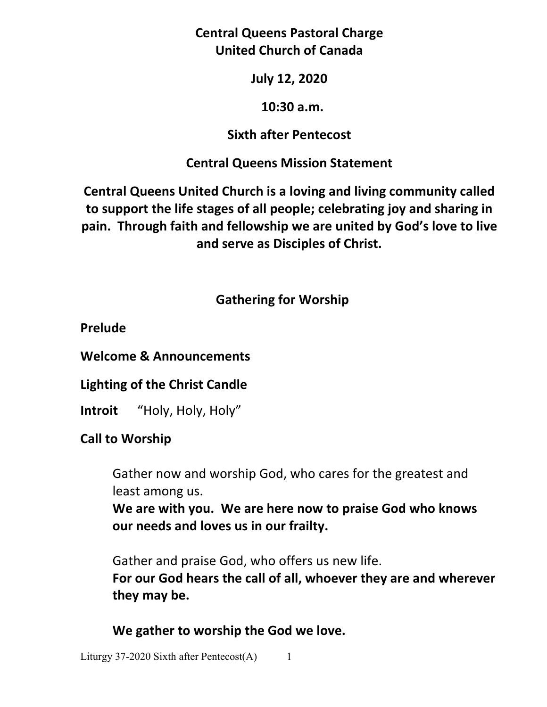## **Central Queens Pastoral Charge United Church of Canada**

### **July 12, 2020**

#### **10:30 a.m.**

### **Sixth after Pentecost**

## **Central Queens Mission Statement**

**Central Queens United Church is a loving and living community called to support the life stages of all people; celebrating joy and sharing in pain. Through faith and fellowship we are united by God's love to live and serve as Disciples of Christ.**

# **Gathering for Worship**

## **Prelude**

**Welcome & Announcements** 

**Lighting of the Christ Candle** 

**Introit** "Holy, Holy, Holy"

# **Call to Worship**

Gather now and worship God, who cares for the greatest and least among us.

**We are with you. We are here now to praise God who knows our needs and loves us in our frailty.** 

 Gather and praise God, who offers us new life. **For our God hears the call of all, whoever they are and wherever they may be.** 

**We gather to worship the God we love.**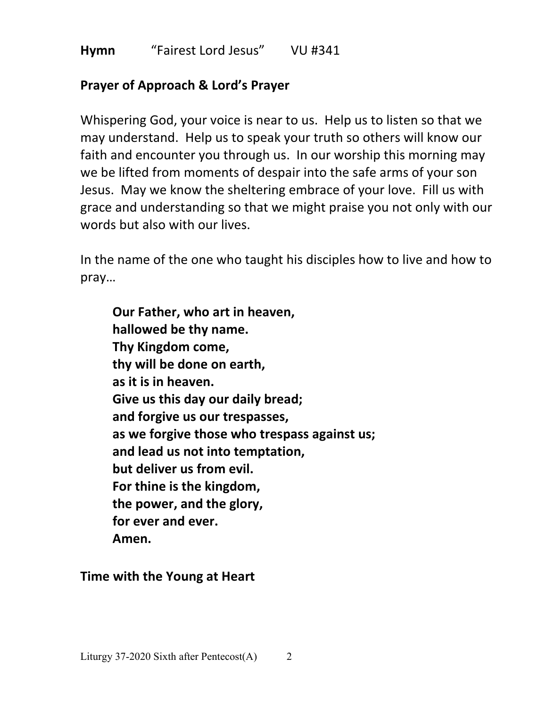#### **Hymn** "Fairest Lord Jesus"VU #341

## **Prayer of Approach & Lord's Prayer**

Whispering God, your voice is near to us. Help us to listen so that we may understand. Help us to speak your truth so others will know our faith and encounter you through us. In our worship this morning may we be lifted from moments of despair into the safe arms of your son Jesus. May we know the sheltering embrace of your love. Fill us with grace and understanding so that we might praise you not only with our words but also with our lives.

In the name of the one who taught his disciples how to live and how to pray…

**Our Father, who art in heaven, hallowed be thy name. Thy Kingdom come, thy will be done on earth, as it is in heaven. Give us this day our daily bread; and forgive us our trespasses, as we forgive those who trespass against us; and lead us not into temptation, but deliver us from evil. For thine is the kingdom, the power, and the glory, for ever and ever. Amen.**

**Time with the Young at Heart**